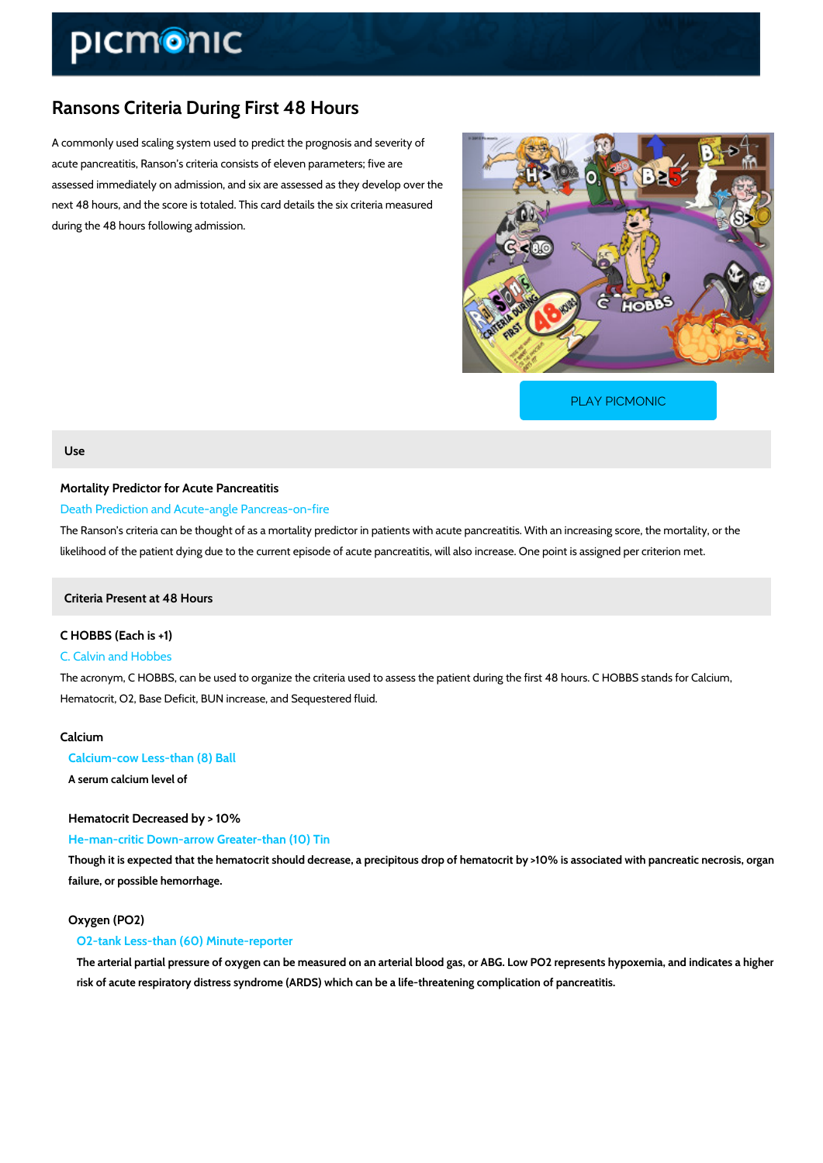# Ransons Criteria During First 48 Hours

A commonly used scaling system used to predict the prognosis and severity of acute pancreatitis, Ranson s criteria consists of eleven parameters; five are assessed immediately on admission, and six are assessed as they develop over the next 48 hours, and the score is totaled. This card details the six criteria measured during the 48 hours following admission.

[PLAY PICMONIC](https://www.picmonic.com/learn/ranson-rsquo-s-criteria-during-first-48-hours_2436?utm_source=downloadable_content&utm_medium=distributedcontent&utm_campaign=pathways_pdf&utm_content=Ransons Criteria During First 48 Hours&utm_ad_group=leads&utm_market=all)

### Use

## Mortality Predictor for Acute Pancreatitis Death Prediction and Acute-angle Pancreas-on-fire

The Ranson s criteria can be thought of as a mortality predictor in patients with acute pancre likelihood of the patient dying due to the current episode of acute pancreatitis, will also incre

Criteria Present at 48 Hours

C HOBBS (Each is +1) C. Calvin and Hobbes The acronym, C HOBBS, can be used to organize the criteria used to assess the patient during Hematocrit, O2, Base Deficit, BUN increase, and Sequestered fluid.

## Calcium

Calcium-cow Less-than (8) Ball A serum calcium level of

Hematocrit Decreased by > 10%

He-man-critic Down-arrow Greater-than (10) Tin

Though it is expected that the hematocrit should decrease, a precipitous drop of hematocrit by failure, or possible hemorrhage.

### Oxygen (PO2)

O2-tank Less-than (60) Minute-reporter

The arterial partial pressure of oxygen can be measured on an arterial blood gas, or ABG. L risk of acute respiratory distress syndrome (ARDS) which can be a life-threatening complication